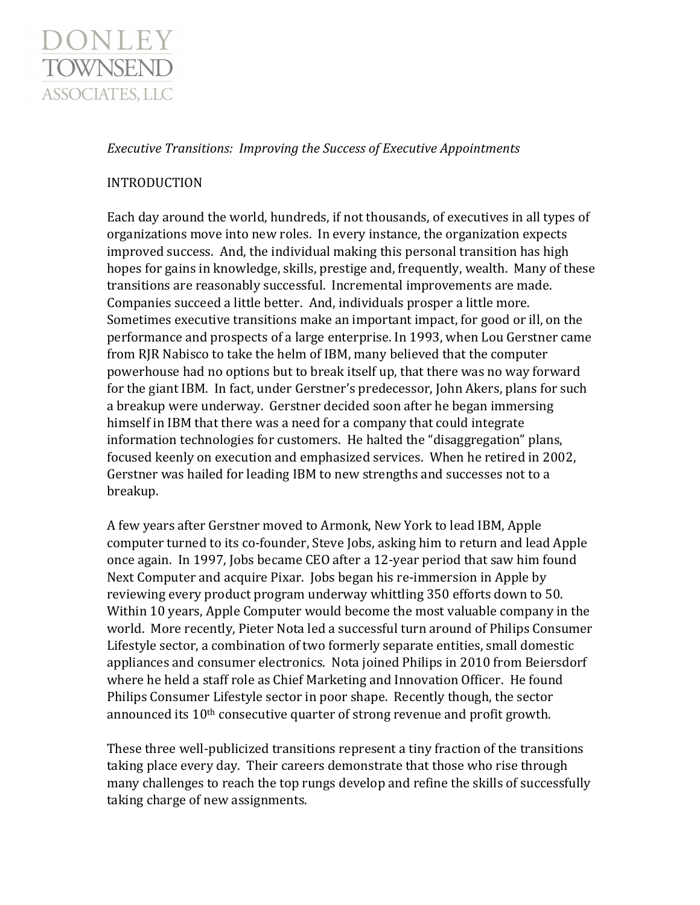

Executive Transitions: Improving the Success of Executive Appointments

# INTRODUCTION

Each day around the world, hundreds, if not thousands, of executives in all types of organizations move into new roles. In every instance, the organization expects improved success. And, the individual making this personal transition has high hopes for gains in knowledge, skills, prestige and, frequently, wealth. Many of these transitions are reasonably successful. Incremental improvements are made. Companies succeed a little better. And, individuals prosper a little more. Sometimes executive transitions make an important impact, for good or ill, on the performance and prospects of a large enterprise. In 1993, when Lou Gerstner came from RJR Nabisco to take the helm of IBM, many believed that the computer powerhouse had no options but to break itself up, that there was no way forward for the giant IBM. In fact, under Gerstner's predecessor, John Akers, plans for such a breakup were underway. Gerstner decided soon after he began immersing himself in IBM that there was a need for a company that could integrate information technologies for customers. He halted the "disaggregation" plans, focused keenly on execution and emphasized services. When he retired in 2002, Gerstner was hailed for leading IBM to new strengths and successes not to a breakup.!!

A few years after Gerstner moved to Armonk, New York to lead IBM, Apple computer turned to its co-founder, Steve Jobs, asking him to return and lead Apple once again. In 1997, Jobs became CEO after a 12-year period that saw him found Next Computer and acquire Pixar. Jobs began his re-immersion in Apple by reviewing every product program underway whittling 350 efforts down to 50. Within 10 years, Apple Computer would become the most valuable company in the world. More recently, Pieter Nota led a successful turn around of Philips Consumer Lifestyle sector, a combination of two formerly separate entities, small domestic appliances and consumer electronics. Nota joined Philips in 2010 from Beiersdorf where he held a staff role as Chief Marketing and Innovation Officer. He found Philips Consumer Lifestyle sector in poor shape. Recently though, the sector announced its  $10<sup>th</sup>$  consecutive quarter of strong revenue and profit growth.

These three well-publicized transitions represent a tiny fraction of the transitions taking place every day. Their careers demonstrate that those who rise through many challenges to reach the top rungs develop and refine the skills of successfully taking charge of new assignments.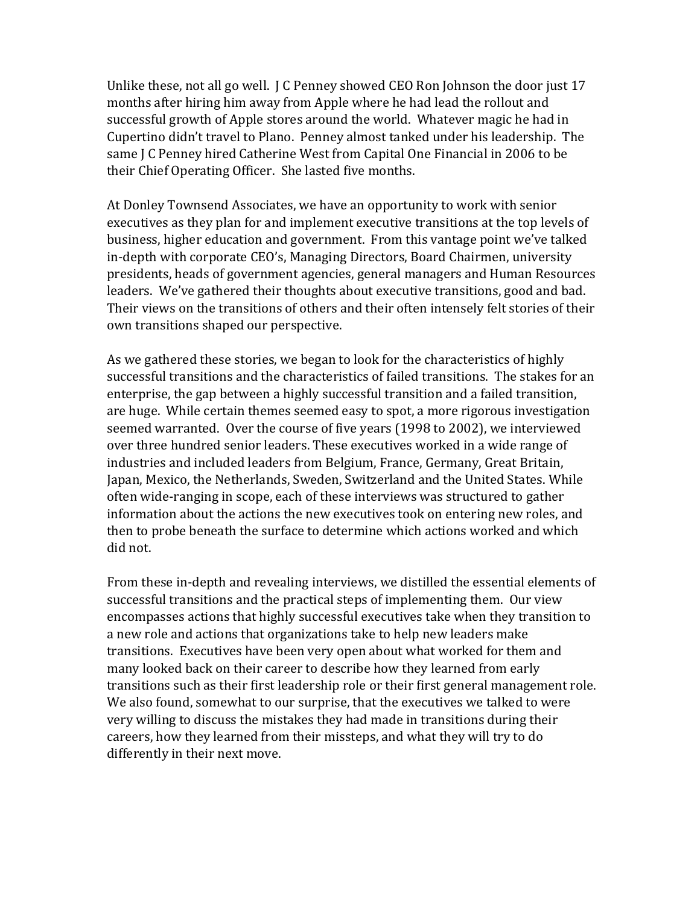Unlike these, not all go well. J C Penney showed CEO Ron Johnson the door just 17 months after hiring him away from Apple where he had lead the rollout and successful growth of Apple stores around the world. Whatever magic he had in Cupertino didn't travel to Plano. Penney almost tanked under his leadership. The same J C Penney hired Catherine West from Capital One Financial in 2006 to be their Chief Operating Officer. She lasted five months.

At Donley Townsend Associates, we have an opportunity to work with senior executives as they plan for and implement executive transitions at the top levels of business, higher education and government. From this vantage point we've talked in-depth with corporate CEO's, Managing Directors, Board Chairmen, university presidents, heads of government agencies, general managers and Human Resources leaders. We've gathered their thoughts about executive transitions, good and bad. Their views on the transitions of others and their often intensely felt stories of their own transitions shaped our perspective.

As we gathered these stories, we began to look for the characteristics of highly successful transitions and the characteristics of failed transitions. The stakes for an enterprise, the gap between a highly successful transition and a failed transition, are huge. While certain themes seemed easy to spot, a more rigorous investigation seemed warranted. Over the course of five years (1998 to 2002), we interviewed over three hundred senior leaders. These executives worked in a wide range of industries and included leaders from Belgium, France, Germany, Great Britain, Japan, Mexico, the Netherlands, Sweden, Switzerland and the United States. While often wide-ranging in scope, each of these interviews was structured to gather information about the actions the new executives took on entering new roles, and then to probe beneath the surface to determine which actions worked and which did not.

From these in-depth and revealing interviews, we distilled the essential elements of successful transitions and the practical steps of implementing them. Our view encompasses actions that highly successful executives take when they transition to a new role and actions that organizations take to help new leaders make transitions. Executives have been very open about what worked for them and many looked back on their career to describe how they learned from early transitions such as their first leadership role or their first general management role. We also found, somewhat to our surprise, that the executives we talked to were very willing to discuss the mistakes they had made in transitions during their careers, how they learned from their missteps, and what they will try to do differently in their next move.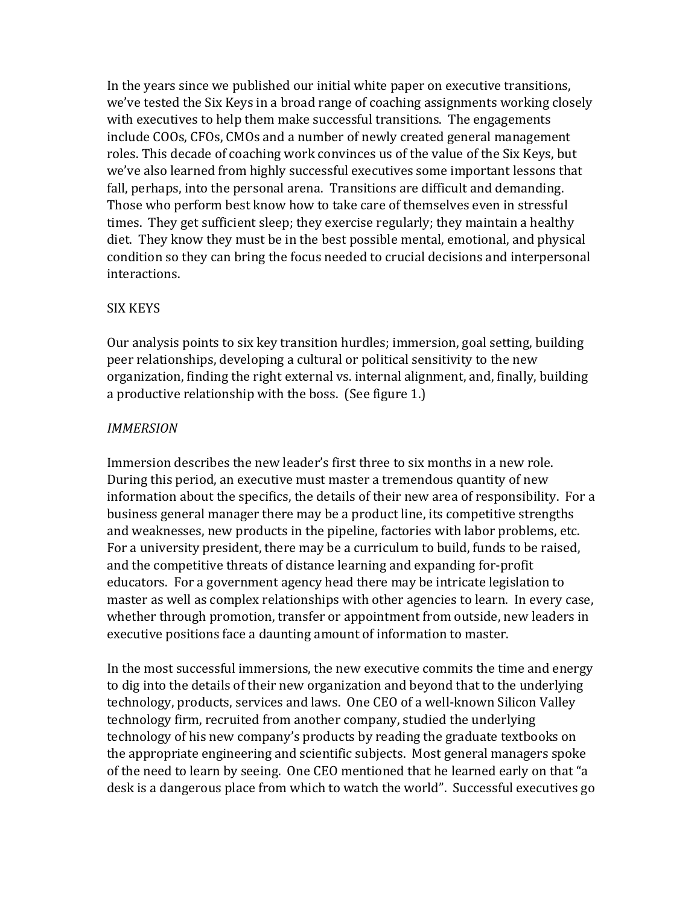In the years since we published our initial white paper on executive transitions, we've tested the Six Keys in a broad range of coaching assignments working closely with executives to help them make successful transitions. The engagements include COOs, CFOs, CMOs and a number of newly created general management roles. This decade of coaching work convinces us of the value of the Six Keys, but we've also learned from highly successful executives some important lessons that fall, perhaps, into the personal arena. Transitions are difficult and demanding. Those who perform best know how to take care of themselves even in stressful times. They get sufficient sleep; they exercise regularly; they maintain a healthy diet. They know they must be in the best possible mental, emotional, and physical condition so they can bring the focus needed to crucial decisions and interpersonal interactions.

#### SIX KEYS

Our analysis points to six key transition hurdles; immersion, goal setting, building peer relationships, developing a cultural or political sensitivity to the new organization, finding the right external vs. internal alignment, and, finally, building a productive relationship with the boss. (See figure 1.)

#### *IMMERSION*

Immersion describes the new leader's first three to six months in a new role. During this period, an executive must master a tremendous quantity of new information about the specifics, the details of their new area of responsibility. For a business general manager there may be a product line, its competitive strengths and weaknesses, new products in the pipeline, factories with labor problems, etc. For a university president, there may be a curriculum to build, funds to be raised, and the competitive threats of distance learning and expanding for-profit educators. For a government agency head there may be intricate legislation to master as well as complex relationships with other agencies to learn. In every case, whether through promotion, transfer or appointment from outside, new leaders in executive positions face a daunting amount of information to master.

In the most successful immersions, the new executive commits the time and energy to dig into the details of their new organization and beyond that to the underlying technology, products, services and laws. One CEO of a well-known Silicon Valley technology firm, recruited from another company, studied the underlying technology of his new company's products by reading the graduate textbooks on the appropriate engineering and scientific subjects. Most general managers spoke of the need to learn by seeing. One CEO mentioned that he learned early on that "a desk is a dangerous place from which to watch the world". Successful executives go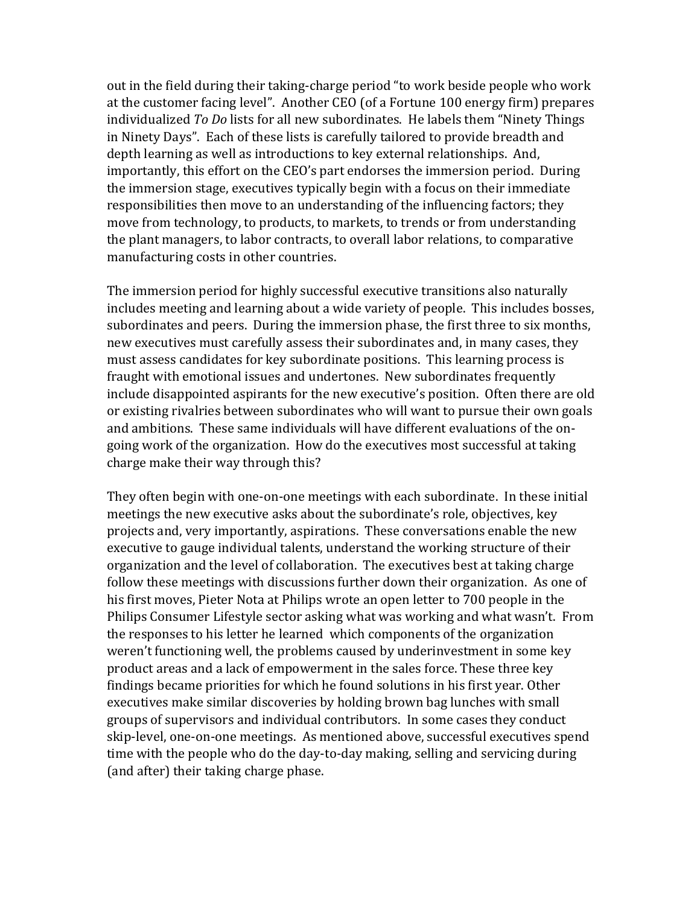out in the field during their taking-charge period "to work beside people who work at the customer facing level". Another CEO (of a Fortune 100 energy firm) prepares individualized *To Do* lists for all new subordinates. He labels them "Ninety Things in Ninety Days". Each of these lists is carefully tailored to provide breadth and depth learning as well as introductions to key external relationships. And, importantly, this effort on the CEO's part endorses the immersion period. During the immersion stage, executives typically begin with a focus on their immediate responsibilities then move to an understanding of the influencing factors; they move from technology, to products, to markets, to trends or from understanding the plant managers, to labor contracts, to overall labor relations, to comparative manufacturing costs in other countries.

The immersion period for highly successful executive transitions also naturally includes meeting and learning about a wide variety of people. This includes bosses, subordinates and peers. During the immersion phase, the first three to six months, new executives must carefully assess their subordinates and, in many cases, they must assess candidates for key subordinate positions. This learning process is fraught with emotional issues and undertones. New subordinates frequently include disappointed aspirants for the new executive's position. Often there are old or existing rivalries between subordinates who will want to pursue their own goals and ambitions. These same individuals will have different evaluations of the ongoing work of the organization. How do the executives most successful at taking charge make their way through this?

They often begin with one-on-one meetings with each subordinate. In these initial meetings the new executive asks about the subordinate's role, objectives, key projects and, very importantly, aspirations. These conversations enable the new executive to gauge individual talents, understand the working structure of their organization and the level of collaboration. The executives best at taking charge follow these meetings with discussions further down their organization. As one of his first moves, Pieter Nota at Philips wrote an open letter to 700 people in the Philips Consumer Lifestyle sector asking what was working and what wasn't. From the responses to his letter he learned which components of the organization weren't functioning well, the problems caused by underinvestment in some key product areas and a lack of empowerment in the sales force. These three key findings became priorities for which he found solutions in his first year. Other executives make similar discoveries by holding brown bag lunches with small groups of supervisors and individual contributors. In some cases they conduct skip-level, one-on-one meetings. As mentioned above, successful executives spend time with the people who do the day-to-day making, selling and servicing during (and after) their taking charge phase.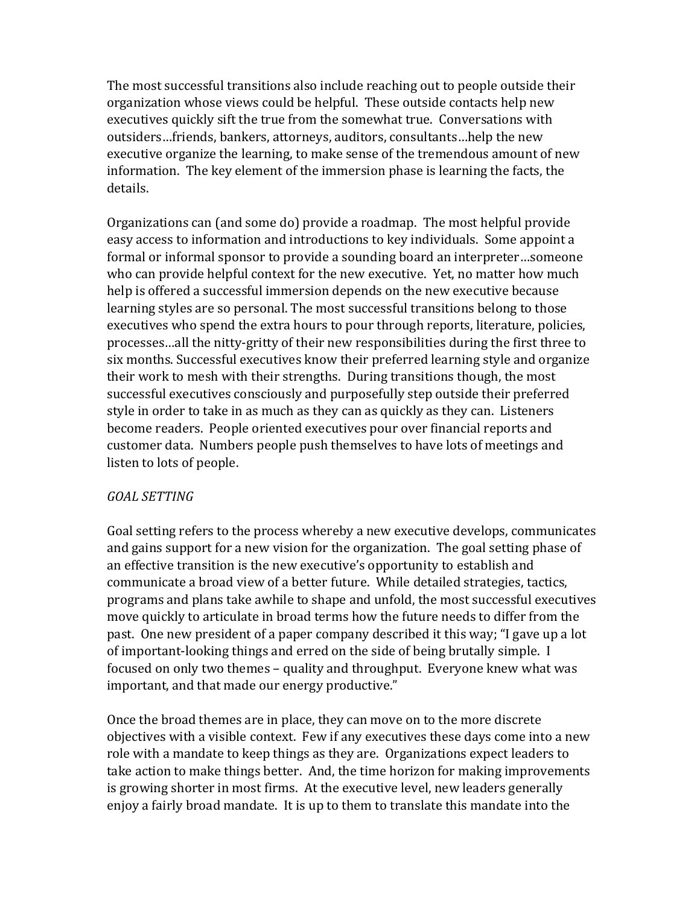The most successful transitions also include reaching out to people outside their organization whose views could be helpful. These outside contacts help new executives quickly sift the true from the somewhat true. Conversations with outsiders...friends, bankers, attorneys, auditors, consultants...help the new executive organize the learning, to make sense of the tremendous amount of new information. The key element of the immersion phase is learning the facts, the details.

Organizations can (and some do) provide a roadmap. The most helpful provide easy access to information and introductions to key individuals. Some appoint a formal or informal sponsor to provide a sounding board an interpreter…someone who can provide helpful context for the new executive. Yet, no matter how much help is offered a successful immersion depends on the new executive because learning styles are so personal. The most successful transitions belong to those executives who spend the extra hours to pour through reports, literature, policies, processes...all the nitty-gritty of their new responsibilities during the first three to six months. Successful executives know their preferred learning style and organize their work to mesh with their strengths. During transitions though, the most successful executives consciously and purposefully step outside their preferred style in order to take in as much as they can as quickly as they can. Listeners become readers. People oriented executives pour over financial reports and customer data. Numbers people push themselves to have lots of meetings and listen to lots of people.

### *GOAL)SETTING*

Goal setting refers to the process whereby a new executive develops, communicates and gains support for a new vision for the organization. The goal setting phase of an effective transition is the new executive's opportunity to establish and communicate a broad view of a better future. While detailed strategies, tactics, programs and plans take awhile to shape and unfold, the most successful executives move quickly to articulate in broad terms how the future needs to differ from the past. One new president of a paper company described it this way; "I gave up a lot of important-looking things and erred on the side of being brutally simple. I focused on only two themes – quality and throughput. Everyone knew what was important, and that made our energy productive."

Once the broad themes are in place, they can move on to the more discrete objectives with a visible context. Few if any executives these days come into a new role with a mandate to keep things as they are. Organizations expect leaders to take action to make things better. And, the time horizon for making improvements is growing shorter in most firms. At the executive level, new leaders generally enjoy a fairly broad mandate. It is up to them to translate this mandate into the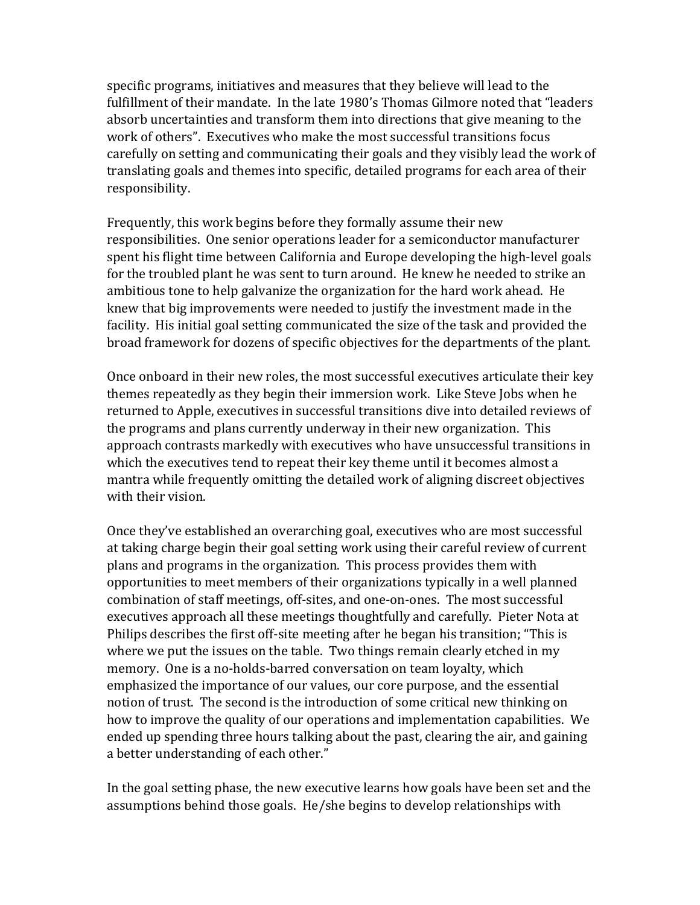specific programs, initiatives and measures that they believe will lead to the fulfillment of their mandate. In the late 1980's Thomas Gilmore noted that "leaders" absorb uncertainties and transform them into directions that give meaning to the work of others". Executives who make the most successful transitions focus carefully on setting and communicating their goals and they visibly lead the work of translating goals and themes into specific, detailed programs for each area of their responsibility.

Frequently, this work begins before they formally assume their new responsibilities. One senior operations leader for a semiconductor manufacturer spent his flight time between California and Europe developing the high-level goals for the troubled plant he was sent to turn around. He knew he needed to strike an ambitious tone to help galvanize the organization for the hard work ahead. He knew that big improvements were needed to justify the investment made in the facility. His initial goal setting communicated the size of the task and provided the broad framework for dozens of specific objectives for the departments of the plant.

Once onboard in their new roles, the most successful executives articulate their key themes repeatedly as they begin their immersion work. Like Steve Jobs when he returned to Apple, executives in successful transitions dive into detailed reviews of the programs and plans currently underway in their new organization. This approach contrasts markedly with executives who have unsuccessful transitions in which the executives tend to repeat their key theme until it becomes almost a mantra while frequently omitting the detailed work of aligning discreet objectives with their vision.

Once they've established an overarching goal, executives who are most successful at taking charge begin their goal setting work using their careful review of current plans and programs in the organization. This process provides them with opportunities to meet members of their organizations typically in a well planned combination of staff meetings, off-sites, and one-on-ones. The most successful executives approach all these meetings thoughtfully and carefully. Pieter Nota at Philips describes the first off-site meeting after he began his transition; "This is where we put the issues on the table. Two things remain clearly etched in my memory. One is a no-holds-barred conversation on team loyalty, which emphasized the importance of our values, our core purpose, and the essential notion of trust. The second is the introduction of some critical new thinking on how to improve the quality of our operations and implementation capabilities. We ended up spending three hours talking about the past, clearing the air, and gaining a better understanding of each other."

In the goal setting phase, the new executive learns how goals have been set and the assumptions behind those goals. He/she begins to develop relationships with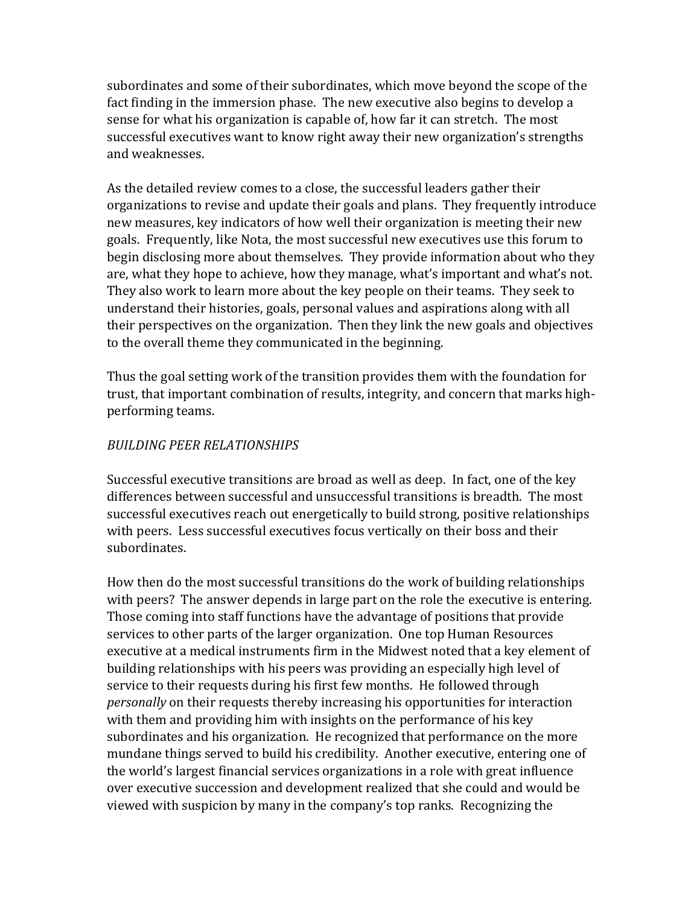subordinates and some of their subordinates, which move beyond the scope of the fact finding in the immersion phase. The new executive also begins to develop a sense for what his organization is capable of, how far it can stretch. The most successful executives want to know right away their new organization's strengths and!weaknesses.

As the detailed review comes to a close, the successful leaders gather their organizations to revise and update their goals and plans. They frequently introduce new measures, key indicators of how well their organization is meeting their new goals. Frequently, like Nota, the most successful new executives use this forum to begin disclosing more about themselves. They provide information about who they are, what they hope to achieve, how they manage, what's important and what's not. They also work to learn more about the key people on their teams. They seek to understand their histories, goals, personal values and aspirations along with all their perspectives on the organization. Then they link the new goals and objectives to the overall theme they communicated in the beginning.

Thus the goal setting work of the transition provides them with the foundation for trust, that important combination of results, integrity, and concern that marks highperforming teams.

# *BUILDING)PEER)RELATIONSHIPS*

Successful executive transitions are broad as well as deep. In fact, one of the key differences between successful and unsuccessful transitions is breadth. The most successful executives reach out energetically to build strong, positive relationships with peers. Less successful executives focus vertically on their boss and their subordinates.

How then do the most successful transitions do the work of building relationships with peers? The answer depends in large part on the role the executive is entering. Those coming into staff functions have the advantage of positions that provide services to other parts of the larger organization. One top Human Resources executive at a medical instruments firm in the Midwest noted that a key element of building relationships with his peers was providing an especially high level of service to their requests during his first few months. He followed through *personally* on their requests thereby increasing his opportunities for interaction with them and providing him with insights on the performance of his key subordinates and his organization. He recognized that performance on the more mundane things served to build his credibility. Another executive, entering one of the world's largest financial services organizations in a role with great influence over executive succession and development realized that she could and would be viewed with suspicion by many in the company's top ranks. Recognizing the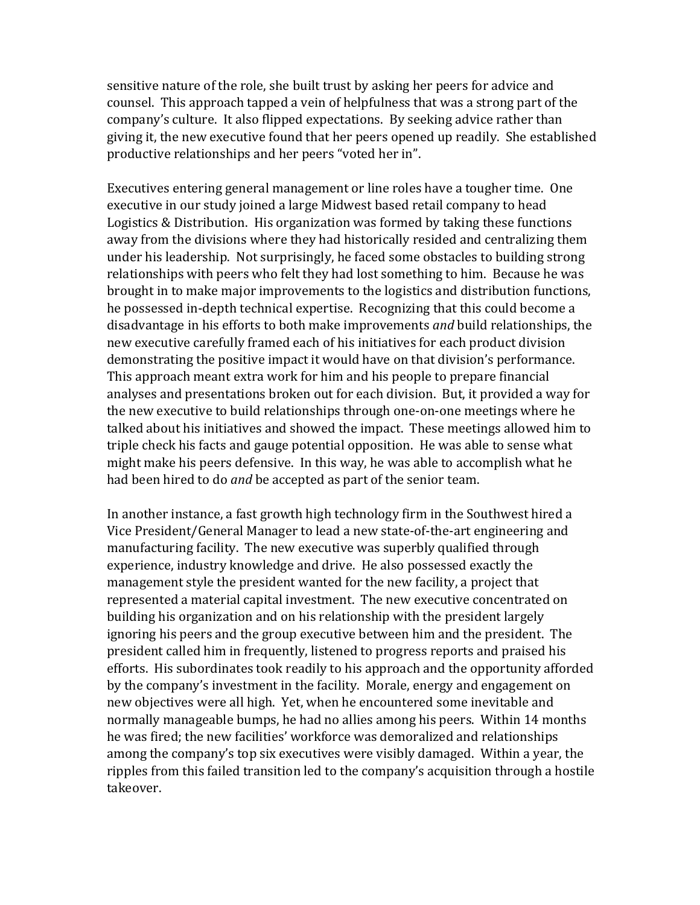sensitive nature of the role, she built trust by asking her peers for advice and counsel. This approach tapped a vein of helpfulness that was a strong part of the company's culture. It also flipped expectations. By seeking advice rather than giving it, the new executive found that her peers opened up readily. She established productive relationships and her peers "voted her in".

Executives entering general management or line roles have a tougher time. One executive in our study joined a large Midwest based retail company to head Logistics & Distribution. His organization was formed by taking these functions away from the divisions where they had historically resided and centralizing them under his leadership. Not surprisingly, he faced some obstacles to building strong relationships with peers who felt they had lost something to him. Because he was brought in to make major improvements to the logistics and distribution functions, he possessed in-depth technical expertise. Recognizing that this could become a disadvantage in his efforts to both make improvements *and* build relationships, the new executive carefully framed each of his initiatives for each product division demonstrating the positive impact it would have on that division's performance. This approach meant extra work for him and his people to prepare financial analyses and presentations broken out for each division. But, it provided a way for the new executive to build relationships through one-on-one meetings where he talked about his initiatives and showed the impact. These meetings allowed him to triple check his facts and gauge potential opposition. He was able to sense what might make his peers defensive. In this way, he was able to accomplish what he had been hired to do *and* be accepted as part of the senior team.

In another instance, a fast growth high technology firm in the Southwest hired a Vice President/General Manager to lead a new state-of-the-art engineering and manufacturing facility. The new executive was superbly qualified through experience, industry knowledge and drive. He also possessed exactly the management style the president wanted for the new facility, a project that represented a material capital investment. The new executive concentrated on building his organization and on his relationship with the president largely ignoring his peers and the group executive between him and the president. The president called him in frequently, listened to progress reports and praised his efforts. His subordinates took readily to his approach and the opportunity afforded by the company's investment in the facility. Morale, energy and engagement on new objectives were all high. Yet, when he encountered some inevitable and normally manageable bumps, he had no allies among his peers. Within 14 months he was fired; the new facilities' workforce was demoralized and relationships among the company's top six executives were visibly damaged. Within a year, the ripples from this failed transition led to the company's acquisition through a hostile takeover.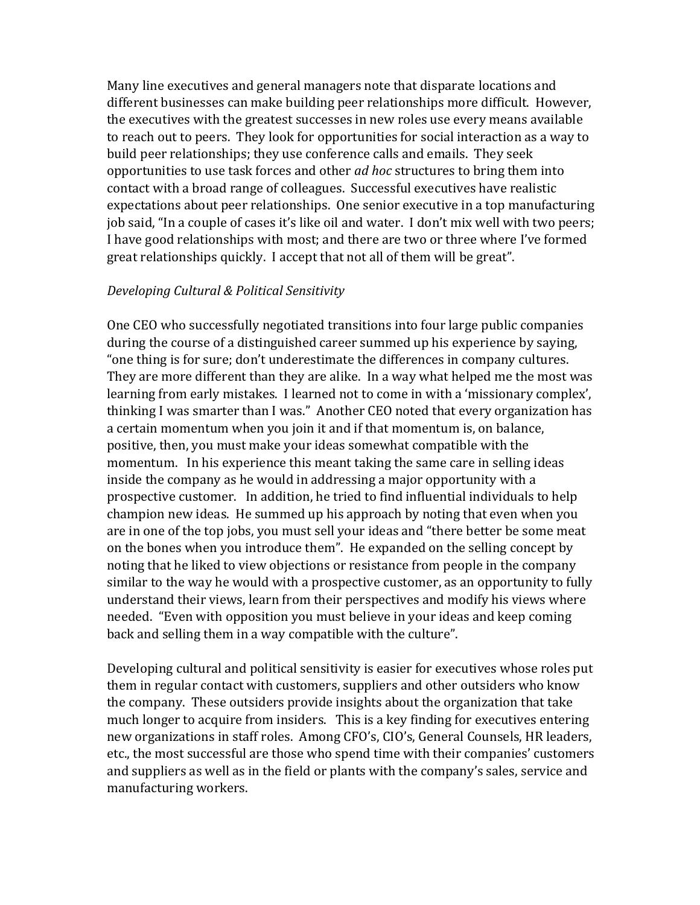Many line executives and general managers note that disparate locations and different businesses can make building peer relationships more difficult. However, the executives with the greatest successes in new roles use every means available to reach out to peers. They look for opportunities for social interaction as a way to build peer relationships; they use conference calls and emails. They seek opportunities to use task forces and other *ad hoc* structures to bring them into contact with a broad range of colleagues. Successful executives have realistic expectations about peer relationships. One senior executive in a top manufacturing job said, "In a couple of cases it's like oil and water. I don't mix well with two peers; I have good relationships with most; and there are two or three where I've formed great relationships quickly. I accept that not all of them will be great".

#### *Developing)Cultural)&)Political)Sensitivity*

One CEO who successfully negotiated transitions into four large public companies during the course of a distinguished career summed up his experience by saying, "one thing is for sure; don't underestimate the differences in company cultures. They are more different than they are alike. In a way what helped me the most was learning from early mistakes. I learned not to come in with a 'missionary complex', thinking I was smarter than I was." Another CEO noted that every organization has a certain momentum when you join it and if that momentum is, on balance, positive, then, you must make your ideas somewhat compatible with the momentum. In his experience this meant taking the same care in selling ideas inside the company as he would in addressing a major opportunity with a prospective customer. In addition, he tried to find influential individuals to help champion new ideas. He summed up his approach by noting that even when you are in one of the top jobs, you must sell your ideas and "there better be some meat on the bones when you introduce them". He expanded on the selling concept by noting that he liked to view objections or resistance from people in the company similar to the way he would with a prospective customer, as an opportunity to fully understand their views, learn from their perspectives and modify his views where needed. "Even with opposition you must believe in your ideas and keep coming back and selling them in a way compatible with the culture".

Developing cultural and political sensitivity is easier for executives whose roles put them in regular contact with customers, suppliers and other outsiders who know the company. These outsiders provide insights about the organization that take much longer to acquire from insiders. This is a key finding for executives entering new organizations in staff roles. Among CFO's, CIO's, General Counsels, HR leaders, etc., the most successful are those who spend time with their companies' customers and suppliers as well as in the field or plants with the company's sales, service and manufacturing workers.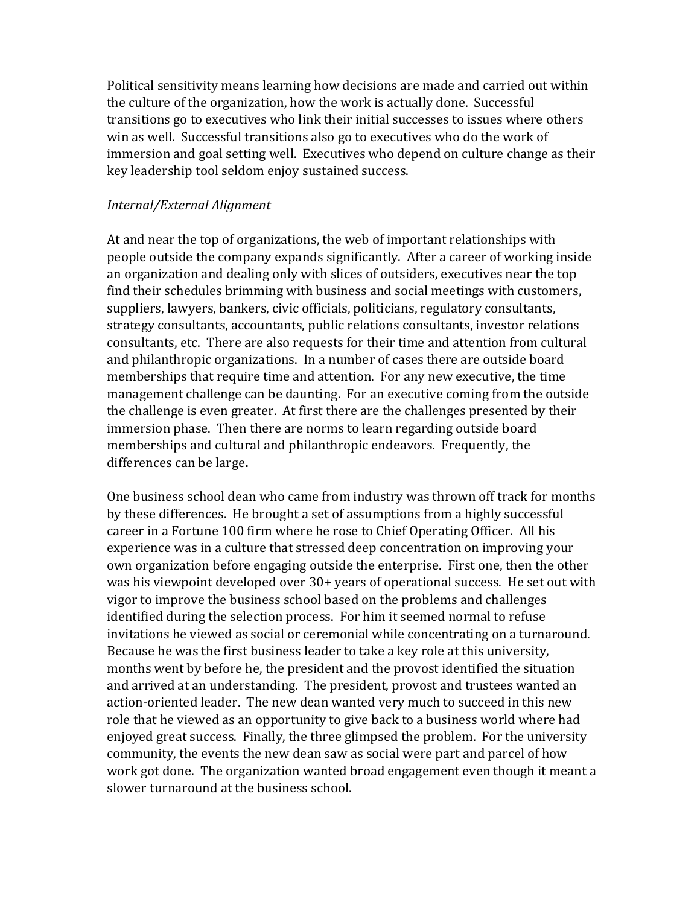Political sensitivity means learning how decisions are made and carried out within the culture of the organization, how the work is actually done. Successful transitions go to executives who link their initial successes to issues where others win as well. Successful transitions also go to executives who do the work of immersion and goal setting well. Executives who depend on culture change as their key leadership tool seldom enjoy sustained success.

### *Internal/External)Alignment*

At and near the top of organizations, the web of important relationships with people outside the company expands significantly. After a career of working inside an organization and dealing only with slices of outsiders, executives near the top find their schedules brimming with business and social meetings with customers, suppliers, lawyers, bankers, civic officials, politicians, regulatory consultants, strategy consultants, accountants, public relations consultants, investor relations consultants, etc. There are also requests for their time and attention from cultural and philanthropic organizations. In a number of cases there are outside board memberships that require time and attention. For any new executive, the time management challenge can be daunting. For an executive coming from the outside the challenge is even greater. At first there are the challenges presented by their immersion phase. Then there are norms to learn regarding outside board memberships and cultural and philanthropic endeavors. Frequently, the differences can be large.

One business school dean who came from industry was thrown off track for months by these differences. He brought a set of assumptions from a highly successful career in a Fortune 100 firm where he rose to Chief Operating Officer. All his experience was in a culture that stressed deep concentration on improving your own organization before engaging outside the enterprise. First one, then the other was his viewpoint developed over 30+ years of operational success. He set out with vigor to improve the business school based on the problems and challenges identified during the selection process. For him it seemed normal to refuse invitations he viewed as social or ceremonial while concentrating on a turnaround. Because he was the first business leader to take a key role at this university, months went by before he, the president and the provost identified the situation and arrived at an understanding. The president, provost and trustees wanted an action-oriented leader. The new dean wanted very much to succeed in this new role that he viewed as an opportunity to give back to a business world where had enjoyed great success. Finally, the three glimpsed the problem. For the university community, the events the new dean saw as social were part and parcel of how work got done. The organization wanted broad engagement even though it meant a slower turnaround at the business school.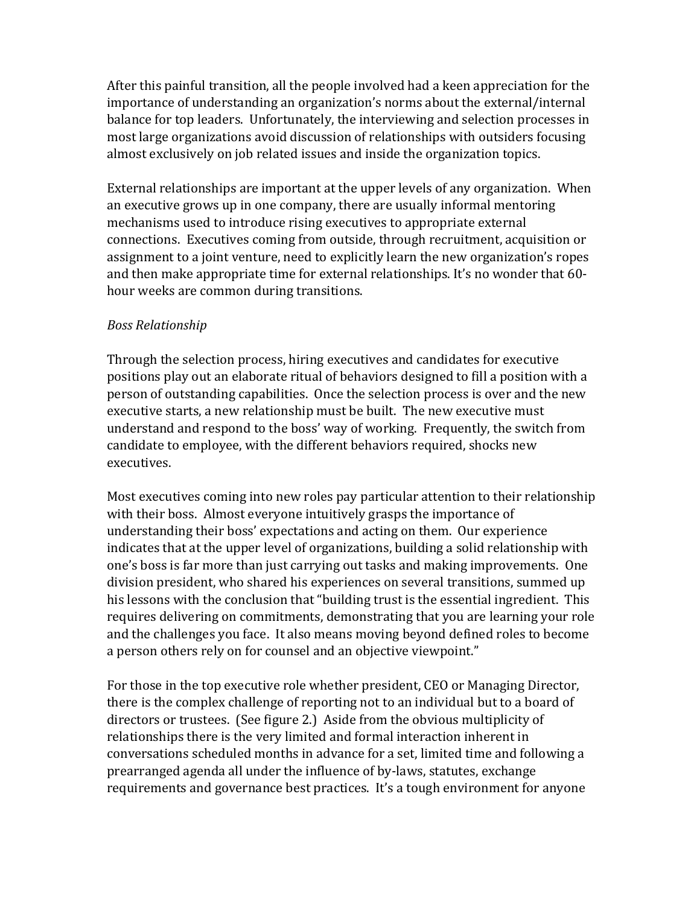After this painful transition, all the people involved had a keen appreciation for the importance of understanding an organization's norms about the external/internal balance for top leaders. Unfortunately, the interviewing and selection processes in most large organizations avoid discussion of relationships with outsiders focusing almost exclusively on job related issues and inside the organization topics.

External relationships are important at the upper levels of any organization. When an executive grows up in one company, there are usually informal mentoring mechanisms used to introduce rising executives to appropriate external connections. Executives coming from outside, through recruitment, acquisition or assignment to a joint venture, need to explicitly learn the new organization's ropes and then make appropriate time for external relationships. It's no wonder that 60hour weeks are common during transitions.

#### *Boss)Relationship*

Through the selection process, hiring executives and candidates for executive positions play out an elaborate ritual of behaviors designed to fill a position with a person of outstanding capabilities. Once the selection process is over and the new executive starts, a new relationship must be built. The new executive must understand and respond to the boss' way of working. Frequently, the switch from candidate to employee, with the different behaviors required, shocks new executives.

Most executives coming into new roles pay particular attention to their relationship with their boss. Almost everyone intuitively grasps the importance of understanding their boss' expectations and acting on them. Our experience indicates that at the upper level of organizations, building a solid relationship with one's boss is far more than just carrying out tasks and making improvements. One division president, who shared his experiences on several transitions, summed up his lessons with the conclusion that "building trust is the essential ingredient. This requires delivering on commitments, demonstrating that you are learning your role and the challenges you face. It also means moving beyond defined roles to become a person others rely on for counsel and an objective viewpoint."

For those in the top executive role whether president, CEO or Managing Director, there is the complex challenge of reporting not to an individual but to a board of directors or trustees. (See figure 2.) Aside from the obvious multiplicity of relationships there is the very limited and formal interaction inherent in conversations scheduled months in advance for a set, limited time and following a prearranged agenda all under the influence of by-laws, statutes, exchange requirements and governance best practices. It's a tough environment for anyone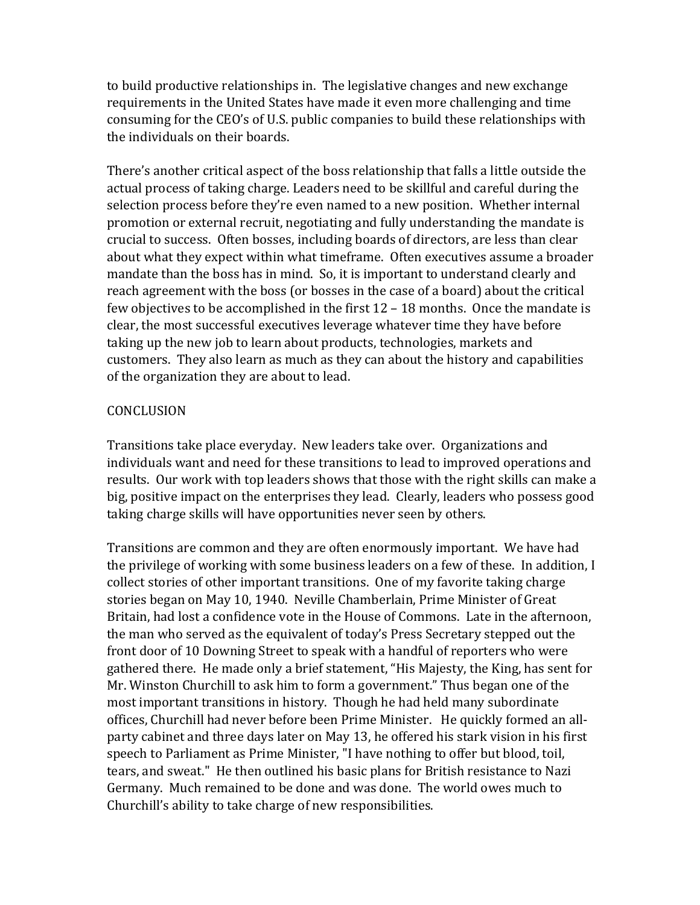to build productive relationships in. The legislative changes and new exchange requirements in the United States have made it even more challenging and time consuming for the CEO's of U.S. public companies to build these relationships with the individuals on their boards.

There's another critical aspect of the boss relationship that falls a little outside the actual process of taking charge. Leaders need to be skillful and careful during the selection process before they're even named to a new position. Whether internal promotion or external recruit, negotiating and fully understanding the mandate is crucial to success. Often bosses, including boards of directors, are less than clear about what they expect within what timeframe. Often executives assume a broader mandate than the boss has in mind. So, it is important to understand clearly and reach agreement with the boss (or bosses in the case of a board) about the critical few objectives to be accomplished in the first  $12 - 18$  months. Once the mandate is clear, the most successful executives leverage whatever time they have before taking up the new job to learn about products, technologies, markets and customers. They also learn as much as they can about the history and capabilities of the organization they are about to lead.

### CONCLUSION

Transitions take place everyday. New leaders take over. Organizations and individuals want and need for these transitions to lead to improved operations and results. Our work with top leaders shows that those with the right skills can make a big, positive impact on the enterprises they lead. Clearly, leaders who possess good taking charge skills will have opportunities never seen by others.

Transitions are common and they are often enormously important. We have had the privilege of working with some business leaders on a few of these. In addition, I collect stories of other important transitions. One of my favorite taking charge stories began on May 10, 1940. Neville Chamberlain, Prime Minister of Great Britain, had lost a confidence vote in the House of Commons. Late in the afternoon, the man who served as the equivalent of today's Press Secretary stepped out the front door of 10 Downing Street to speak with a handful of reporters who were gathered there. He made only a brief statement, "His Majesty, the King, has sent for Mr. Winston Churchill to ask him to form a government." Thus began one of the most important transitions in history. Though he had held many subordinate offices, Churchill had never before been Prime Minister. He quickly formed an allparty cabinet and three days later on May 13, he offered his stark vision in his first speech to Parliament as Prime Minister, "I have nothing to offer but blood, toil, tears, and sweat." He then outlined his basic plans for British resistance to Nazi Germany. Much remained to be done and was done. The world owes much to Churchill's ability to take charge of new responsibilities.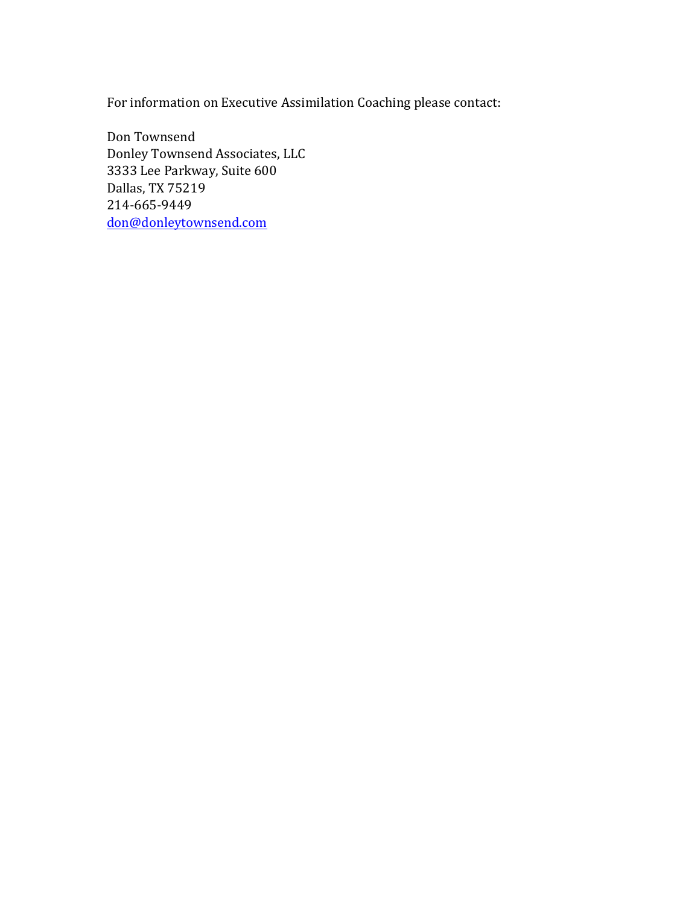For information on Executive Assimilation Coaching please contact:

Don Townsend Donley Townsend Associates, LLC 3333 Lee Parkway, Suite 600 Dallas, TX 75219 214-665-9449 don@donleytownsend.com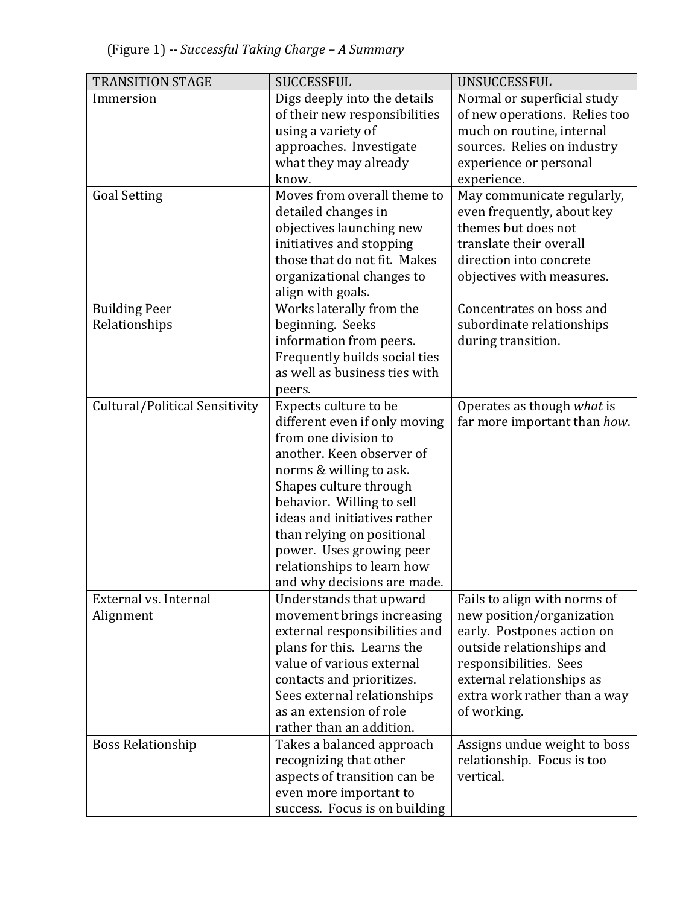| <b>TRANSITION STAGE</b>               | <b>SUCCESSFUL</b>             | UNSUCCESSFUL                  |
|---------------------------------------|-------------------------------|-------------------------------|
| Immersion                             | Digs deeply into the details  | Normal or superficial study   |
|                                       | of their new responsibilities | of new operations. Relies too |
|                                       | using a variety of            | much on routine, internal     |
|                                       | approaches. Investigate       | sources. Relies on industry   |
|                                       | what they may already         | experience or personal        |
|                                       | know.                         | experience.                   |
| <b>Goal Setting</b>                   | Moves from overall theme to   | May communicate regularly,    |
|                                       | detailed changes in           | even frequently, about key    |
|                                       | objectives launching new      | themes but does not           |
|                                       | initiatives and stopping      | translate their overall       |
|                                       | those that do not fit. Makes  | direction into concrete       |
|                                       | organizational changes to     | objectives with measures.     |
|                                       | align with goals.             |                               |
| <b>Building Peer</b>                  | Works laterally from the      | Concentrates on boss and      |
| Relationships                         | beginning. Seeks              | subordinate relationships     |
|                                       | information from peers.       | during transition.            |
|                                       | Frequently builds social ties |                               |
|                                       | as well as business ties with |                               |
|                                       | peers.                        |                               |
| <b>Cultural/Political Sensitivity</b> | Expects culture to be         | Operates as though what is    |
|                                       | different even if only moving | far more important than how.  |
|                                       | from one division to          |                               |
|                                       | another. Keen observer of     |                               |
|                                       | norms & willing to ask.       |                               |
|                                       | Shapes culture through        |                               |
|                                       | behavior. Willing to sell     |                               |
|                                       | ideas and initiatives rather  |                               |
|                                       | than relying on positional    |                               |
|                                       | power. Uses growing peer      |                               |
|                                       | relationships to learn how    |                               |
|                                       | and why decisions are made.   |                               |
| External vs. Internal                 | Understands that upward       | Fails to align with norms of  |
| Alignment                             | movement brings increasing    | new position/organization     |
|                                       | external responsibilities and | early. Postpones action on    |
|                                       | plans for this. Learns the    | outside relationships and     |
|                                       | value of various external     | responsibilities. Sees        |
|                                       | contacts and prioritizes.     | external relationships as     |
|                                       | Sees external relationships   | extra work rather than a way  |
|                                       | as an extension of role       | of working.                   |
|                                       | rather than an addition.      |                               |
| <b>Boss Relationship</b>              | Takes a balanced approach     | Assigns undue weight to boss  |
|                                       | recognizing that other        | relationship. Focus is too    |
|                                       | aspects of transition can be  | vertical.                     |
|                                       | even more important to        |                               |
|                                       | success. Focus is on building |                               |